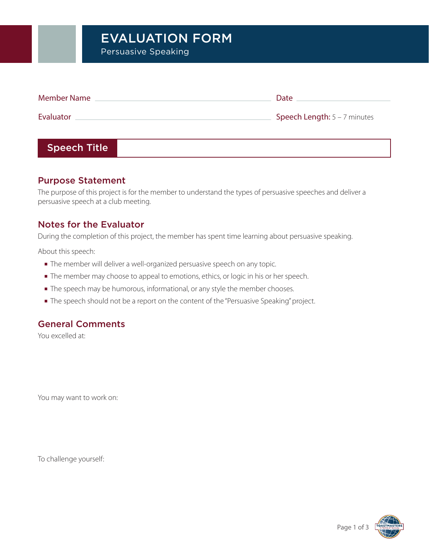# EVALUATION FORM

Persuasive Speaking

| <b>Member Name</b> | Date                         |
|--------------------|------------------------------|
| Evaluator          | Speech Length: 5 - 7 minutes |
|                    |                              |

### Speech Title

#### Purpose Statement

The purpose of this project is for the member to understand the types of persuasive speeches and deliver a persuasive speech at a club meeting.

#### Notes for the Evaluator

During the completion of this project, the member has spent time learning about persuasive speaking.

About this speech:

- **■** The member will deliver a well-organized persuasive speech on any topic.
- **■** The member may choose to appeal to emotions, ethics, or logic in his or her speech.
- **■** The speech may be humorous, informational, or any style the member chooses.
- **■** The speech should not be a report on the content of the "Persuasive Speaking" project.

#### General Comments

You excelled at:

You may want to work on:

To challenge yourself:

Page 1 of 3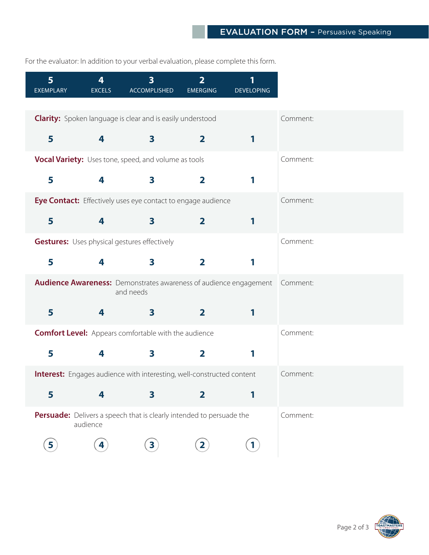For the evaluator: In addition to your verbal evaluation, please complete this form.

| 5 <sup>1</sup><br><b>EXEMPLARY</b> | 4<br><b>EXCELS</b> | $\overline{\mathbf{3}}$<br><b>ACCOMPLISHED</b>                                                 | $\overline{2}$<br><b>EMERGING</b> | 1<br><b>DEVELOPING</b> |
|------------------------------------|--------------------|------------------------------------------------------------------------------------------------|-----------------------------------|------------------------|
|                                    |                    |                                                                                                |                                   |                        |
|                                    |                    | <b>Clarity:</b> Spoken language is clear and is easily understood                              |                                   |                        |
| 5                                  | 4                  | $\mathbf{3}$                                                                                   | $\overline{2}$                    | 1                      |
|                                    |                    | <b>Vocal Variety:</b> Uses tone, speed, and volume as tools                                    |                                   |                        |
| 5                                  | 4                  | $\overline{\mathbf{3}}$                                                                        | $\overline{\mathbf{2}}$           | 1                      |
|                                    |                    | Eye Contact: Effectively uses eye contact to engage audience                                   |                                   |                        |
| 5                                  | 4                  | $\mathbf{3}$                                                                                   | $\overline{2}$                    | 1                      |
|                                    |                    | <b>Gestures:</b> Uses physical gestures effectively                                            |                                   |                        |
| 5                                  | 4                  | 3                                                                                              | $\mathbf{2}$                      | 1                      |
|                                    |                    | <b>Audience Awareness:</b> Demonstrates awareness of audience engagement Comment:<br>and needs |                                   |                        |
| 5                                  | 4                  | $\mathbf{3}$                                                                                   | $\overline{2}$                    | 1                      |
|                                    |                    | <b>Comfort Level:</b> Appears comfortable with the audience                                    |                                   |                        |
| 5                                  | 4                  | 3                                                                                              | $\mathbf{2}$                      |                        |
|                                    |                    | <b>Interest:</b> Engages audience with interesting, well-constructed content                   |                                   |                        |
| 5                                  | 4                  | $\overline{\mathbf{3}}$                                                                        | $\overline{2}$                    | 1                      |
|                                    | audience           | Persuade: Delivers a speech that is clearly intended to persuade the                           |                                   |                        |
| 5                                  | 4                  | $\overline{\mathbf{3}}$                                                                        | $\mathbf{2}$                      | $\mathbf{1}$           |